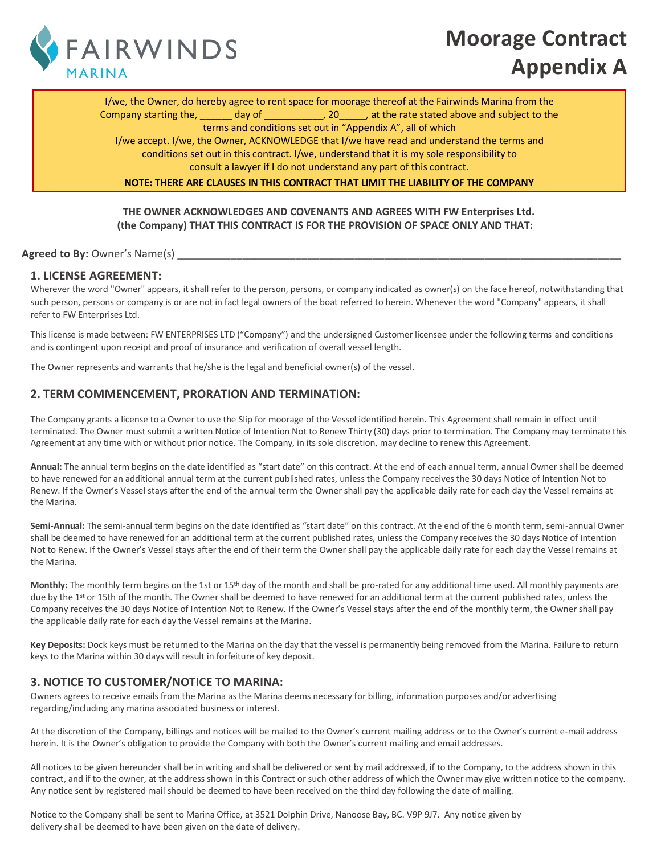

# **Moorage Contract Appendix A**

I/we, the Owner, do hereby agree to rent space for moorage thereof at the Fairwinds Marina from the Company starting the, \_\_\_\_\_\_ day of \_\_\_\_\_\_\_\_\_\_\_, 20\_\_\_\_\_, at the rate stated above and subject to the terms and conditions set out in "Appendix A", all of which

I/we accept. I/we, the Owner, ACKNOWLEDGE that I/we have read and understand the terms and conditions set out in this contract. I/we, understand that it is my sole responsibility to consult a lawyer if I do not understand any part of this contract.

**NOTE: THERE ARE CLAUSES IN THIS CONTRACT THAT LIMIT THE LIABILITY OF THE COMPANY**

#### **THE OWNER ACKNOWLEDGES AND COVENANTS AND AGREES WITH FW Enterprises Ltd. (the Company) THAT THIS CONTRACT IS FOR THE PROVISION OF SPACE ONLY AND THAT:**

#### **Agreed to By: Owner's Name(s)** and the state of the state of the state of the state of the state of the state of the state of the state of the state of the state of the state of the state of the state of the state of the

#### **1. LICENSE AGREEMENT:**

Wherever the word "Owner" appears, it shall refer to the person, persons, or company indicated as owner(s) on the face hereof, notwithstanding that such person, persons or company is or are not in fact legal owners of the boat referred to herein. Whenever the word "Company" appears, it shall refer to FW Enterprises Ltd.

This license is made between: FW ENTERPRISES LTD ("Company") and the undersigned Customer licensee under the following terms and conditions and is contingent upon receipt and proof of insurance and verification of overall vessel length.

The Owner represents and warrants that he/she is the legal and beneficial owner(s) of the vessel.

# **2. TERM COMMENCEMENT, PRORATION AND TERMINATION:**

The Company grants a license to a Owner to use the Slip for moorage of the Vessel identified herein. This Agreement shall remain in effect until terminated. The Owner must submit a written Notice of Intention Not to Renew Thirty (30) days prior to termination. The Company may terminate this Agreement at any time with or without prior notice. The Company, in its sole discretion, may decline to renew this Agreement.

**Annual:** The annual term begins on the date identified as "start date" on this contract. At the end of each annual term, annual Owner shall be deemed to have renewed for an additional annual term at the current published rates, unless the Company receives the 30 days Notice of Intention Not to Renew. If the Owner's Vessel stays after the end of the annual term the Owner shall pay the applicable daily rate for each day the Vessel remains at the Marina.

**Semi-Annual:** The semi-annual term begins on the date identified as "start date" on this contract. At the end of the 6 month term, semi-annual Owner shall be deemed to have renewed for an additional term at the current published rates, unless the Company receives the 30 days Notice of Intention Not to Renew. If the Owner's Vessel stays after the end of their term the Owner shall pay the applicable daily rate for each day the Vessel remains at the Marina.

Monthly: The monthly term begins on the 1st or 15<sup>th</sup> day of the month and shall be pro-rated for any additional time used. All monthly payments are due by the 1<sup>st</sup> or 15th of the month. The Owner shall be deemed to have renewed for an additional term at the current published rates, unless the Company receives the 30 days Notice of Intention Not to Renew. If the Owner's Vessel stays after the end of the monthly term, the Owner shall pay the applicable daily rate for each day the Vessel remains at the Marina.

**Key Deposits:** Dock keys must be returned to the Marina on the day that the vessel is permanently being removed from the Marina. Failure to return keys to the Marina within 30 days will result in forfeiture of key deposit.

# **3. NOTICE TO CUSTOMER/NOTICE TO MARINA:**

Owners agrees to receive emails from the Marina as the Marina deems necessary for billing, information purposes and/or advertising regarding/including any marina associated business or interest.

At the discretion of the Company, billings and notices will be mailed to the Owner's current mailing address or to the Owner's current e-mail address herein. It is the Owner's obligation to provide the Company with both the Owner's current mailing and email addresses.

All notices to be given hereunder shall be in writing and shall be delivered or sent by mail addressed, if to the Company, to the address shown in this contract, and if to the owner, at the address shown in this Contract or such other address of which the Owner may give written notice to the company. Any notice sent by registered mail should be deemed to have been received on the third day following the date of mailing.

Notice to the Company shall be sent to Marina Office, at 3521 Dolphin Drive, Nanoose Bay, BC. V9P 9J7. Any notice given by delivery shall be deemed to have been given on the date of delivery.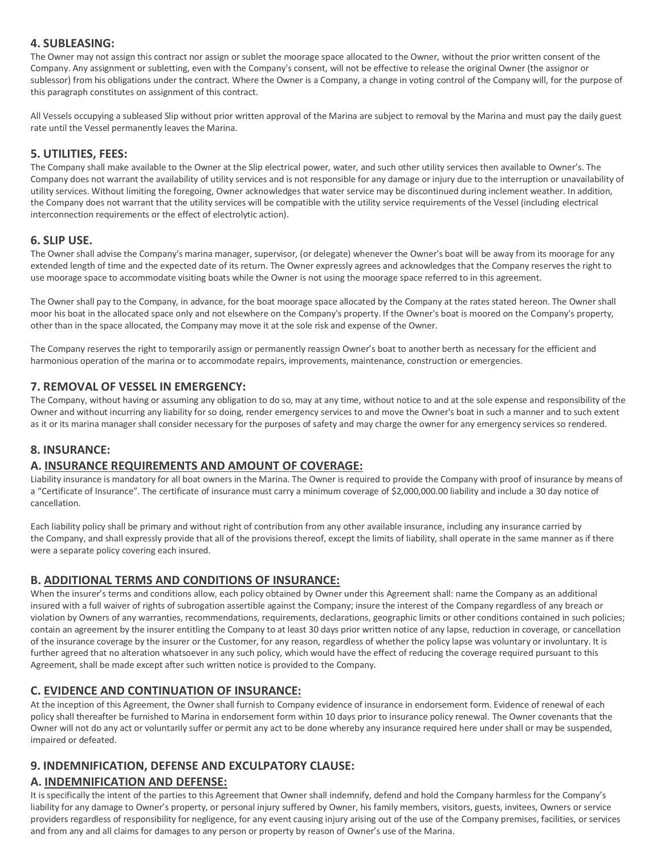# **4. SUBLEASING:**

The Owner may not assign this contract nor assign or sublet the moorage space allocated to the Owner, without the prior written consent of the Company. Any assignment or subletting, even with the Company's consent, will not be effective to release the original Owner (the assignor or sublessor) from his obligations under the contract. Where the Owner is a Company, a change in voting control of the Company will, for the purpose of this paragraph constitutes on assignment of this contract.

All Vessels occupying a subleased Slip without prior written approval of the Marina are subject to removal by the Marina and must pay the daily guest rate until the Vessel permanently leaves the Marina.

# **5. UTILITIES, FEES:**

The Company shall make available to the Owner at the Slip electrical power, water, and such other utility services then available to Owner's. The Company does not warrant the availability of utility services and is not responsible for any damage or injury due to the interruption or unavailability of utility services. Without limiting the foregoing, Owner acknowledges that water service may be discontinued during inclement weather. In addition, the Company does not warrant that the utility services will be compatible with the utility service requirements of the Vessel (including electrical interconnection requirements or the effect of electrolytic action).

# **6. SLIP USE.**

The Owner shall advise the Company's marina manager, supervisor, (or delegate) whenever the Owner's boat will be away from its moorage for any extended length of time and the expected date of its return. The Owner expressly agrees and acknowledges that the Company reserves the right to use moorage space to accommodate visiting boats while the Owner is not using the moorage space referred to in this agreement.

The Owner shall pay to the Company, in advance, for the boat moorage space allocated by the Company at the rates stated hereon. The Owner shall moor his boat in the allocated space only and not elsewhere on the Company's property. If the Owner's boat is moored on the Company's property, other than in the space allocated, the Company may move it at the sole risk and expense of the Owner.

The Company reserves the right to temporarily assign or permanently reassign Owner's boat to another berth as necessary for the efficient and harmonious operation of the marina or to accommodate repairs, improvements, maintenance, construction or emergencies.

#### **7. REMOVAL OF VESSEL IN EMERGENCY:**

The Company, without having or assuming any obligation to do so, may at any time, without notice to and at the sole expense and responsibility of the Owner and without incurring any liability for so doing, render emergency services to and move the Owner's boat in such a manner and to such extent as it or its marina manager shall consider necessary for the purposes of safety and may charge the owner for any emergency services so rendered.

#### **8. INSURANCE:**

# **A. INSURANCE REQUIREMENTS AND AMOUNT OF COVERAGE:**

Liability insurance is mandatory for all boat owners in the Marina. The Owner is required to provide the Company with proof of insurance by means of a "Certificate of Insurance". The certificate of insurance must carry a minimum coverage of \$2,000,000.00 liability and include a 30 day notice of cancellation.

Each liability policy shall be primary and without right of contribution from any other available insurance, including any insurance carried by the Company, and shall expressly provide that all of the provisions thereof, except the limits of liability, shall operate in the same manner as if there were a separate policy covering each insured.

# **B. ADDITIONAL TERMS AND CONDITIONS OF INSURANCE:**

When the insurer's terms and conditions allow, each policy obtained by Owner under this Agreement shall: name the Company as an additional insured with a full waiver of rights of subrogation assertible against the Company; insure the interest of the Company regardless of any breach or violation by Owners of any warranties, recommendations, requirements, declarations, geographic limits or other conditions contained in such policies; contain an agreement by the insurer entitling the Company to at least 30 days prior written notice of any lapse, reduction in coverage, or cancellation of the insurance coverage by the insurer or the Customer, for any reason, regardless of whether the policy lapse was voluntary or involuntary. It is further agreed that no alteration whatsoever in any such policy, which would have the effect of reducing the coverage required pursuant to this Agreement, shall be made except after such written notice is provided to the Company.

# **C. EVIDENCE AND CONTINUATION OF INSURANCE:**

At the inception of this Agreement, the Owner shall furnish to Company evidence of insurance in endorsement form. Evidence of renewal of each policy shall thereafter be furnished to Marina in endorsement form within 10 days prior to insurance policy renewal. The Owner covenants that the Owner will not do any act or voluntarily suffer or permit any act to be done whereby any insurance required here under shall or may be suspended, impaired or defeated.

# **9. INDEMNIFICATION, DEFENSE AND EXCULPATORY CLAUSE:**

# **A. INDEMNIFICATION AND DEFENSE:**

It is specifically the intent of the parties to this Agreement that Owner shall indemnify, defend and hold the Company harmless for the Company's liability for any damage to Owner's property, or personal injury suffered by Owner, his family members, visitors, guests, invitees, Owners or service providers regardless of responsibility for negligence, for any event causing injury arising out of the use of the Company premises, facilities, or services and from any and all claims for damages to any person or property by reason of Owner's use of the Marina.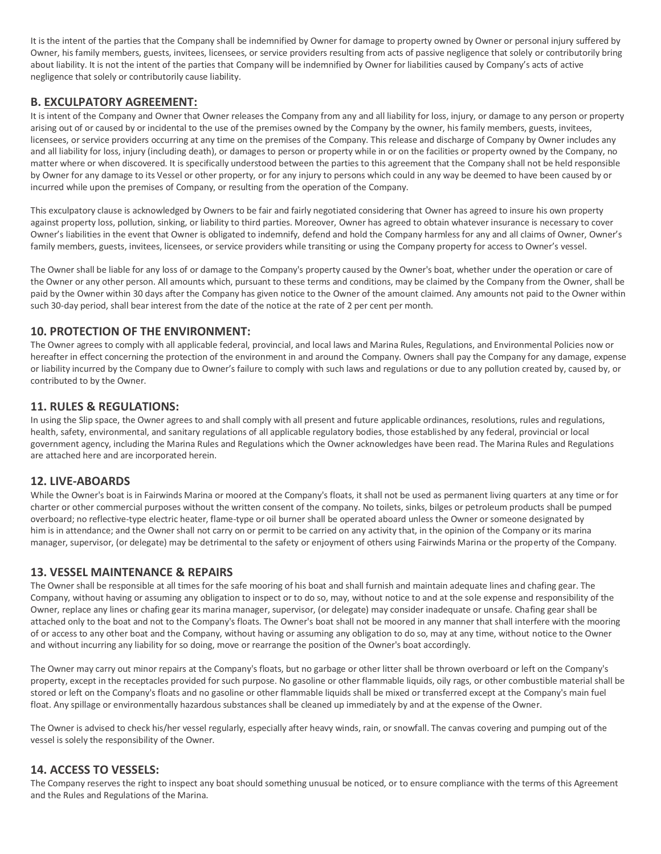It is the intent of the parties that the Company shall be indemnified by Owner for damage to property owned by Owner or personal injury suffered by Owner, his family members, guests, invitees, licensees, or service providers resulting from acts of passive negligence that solely or contributorily bring about liability. It is not the intent of the parties that Company will be indemnified by Owner for liabilities caused by Company's acts of active negligence that solely or contributorily cause liability.

#### **B. EXCULPATORY AGREEMENT:**

It is intent of the Company and Owner that Owner releases the Company from any and all liability for loss, injury, or damage to any person or property arising out of or caused by or incidental to the use of the premises owned by the Company by the owner, his family members, guests, invitees, licensees, or service providers occurring at any time on the premises of the Company. This release and discharge of Company by Owner includes any and all liability for loss, injury (including death), or damages to person or property while in or on the facilities or property owned by the Company, no matter where or when discovered. It is specifically understood between the parties to this agreement that the Company shall not be held responsible by Owner for any damage to its Vessel or other property, or for any injury to persons which could in any way be deemed to have been caused by or incurred while upon the premises of Company, or resulting from the operation of the Company.

This exculpatory clause is acknowledged by Owners to be fair and fairly negotiated considering that Owner has agreed to insure his own property against property loss, pollution, sinking, or liability to third parties. Moreover, Owner has agreed to obtain whatever insurance is necessary to cover Owner's liabilities in the event that Owner is obligated to indemnify, defend and hold the Company harmless for any and all claims of Owner, Owner's family members, guests, invitees, licensees, or service providers while transiting or using the Company property for access to Owner's vessel.

The Owner shall be liable for any loss of or damage to the Company's property caused by the Owner's boat, whether under the operation or care of the Owner or any other person. All amounts which, pursuant to these terms and conditions, may be claimed by the Company from the Owner, shall be paid by the Owner within 30 days after the Company has given notice to the Owner of the amount claimed. Any amounts not paid to the Owner within such 30-day period, shall bear interest from the date of the notice at the rate of 2 per cent per month.

# **10. PROTECTION OF THE ENVIRONMENT:**

The Owner agrees to comply with all applicable federal, provincial, and local laws and Marina Rules, Regulations, and Environmental Policies now or hereafter in effect concerning the protection of the environment in and around the Company. Owners shall pay the Company for any damage, expense or liability incurred by the Company due to Owner's failure to comply with such laws and regulations or due to any pollution created by, caused by, or contributed to by the Owner.

#### **11. RULES & REGULATIONS:**

In using the Slip space, the Owner agrees to and shall comply with all present and future applicable ordinances, resolutions, rules and regulations, health, safety, environmental, and sanitary regulations of all applicable regulatory bodies, those established by any federal, provincial or local government agency, including the Marina Rules and Regulations which the Owner acknowledges have been read. The Marina Rules and Regulations are attached here and are incorporated herein.

#### **12. LIVE-ABOARDS**

While the Owner's boat is in Fairwinds Marina or moored at the Company's floats, it shall not be used as permanent living quarters at any time or for charter or other commercial purposes without the written consent of the company. No toilets, sinks, bilges or petroleum products shall be pumped overboard; no reflective-type electric heater, flame-type or oil burner shall be operated aboard unless the Owner or someone designated by him is in attendance; and the Owner shall not carry on or permit to be carried on any activity that, in the opinion of the Company or its marina manager, supervisor, (or delegate) may be detrimental to the safety or enjoyment of others using Fairwinds Marina or the property of the Company.

# **13. VESSEL MAINTENANCE & REPAIRS**

The Owner shall be responsible at all times for the safe mooring of his boat and shall furnish and maintain adequate lines and chafing gear. The Company, without having or assuming any obligation to inspect or to do so, may, without notice to and at the sole expense and responsibility of the Owner, replace any lines or chafing gear its marina manager, supervisor, (or delegate) may consider inadequate or unsafe. Chafing gear shall be attached only to the boat and not to the Company's floats. The Owner's boat shall not be moored in any manner that shall interfere with the mooring of or access to any other boat and the Company, without having or assuming any obligation to do so, may at any time, without notice to the Owner and without incurring any liability for so doing, move or rearrange the position of the Owner's boat accordingly.

The Owner may carry out minor repairs at the Company's floats, but no garbage or other litter shall be thrown overboard or left on the Company's property, except in the receptacles provided for such purpose. No gasoline or other flammable liquids, oily rags, or other combustible material shall be stored or left on the Company's floats and no gasoline or other flammable liquids shall be mixed or transferred except at the Company's main fuel float. Any spillage or environmentally hazardous substances shall be cleaned up immediately by and at the expense of the Owner.

The Owner is advised to check his/her vessel regularly, especially after heavy winds, rain, or snowfall. The canvas covering and pumping out of the vessel is solely the responsibility of the Owner.

#### **14. ACCESS TO VESSELS:**

The Company reserves the right to inspect any boat should something unusual be noticed, or to ensure compliance with the terms of this Agreement and the Rules and Regulations of the Marina.